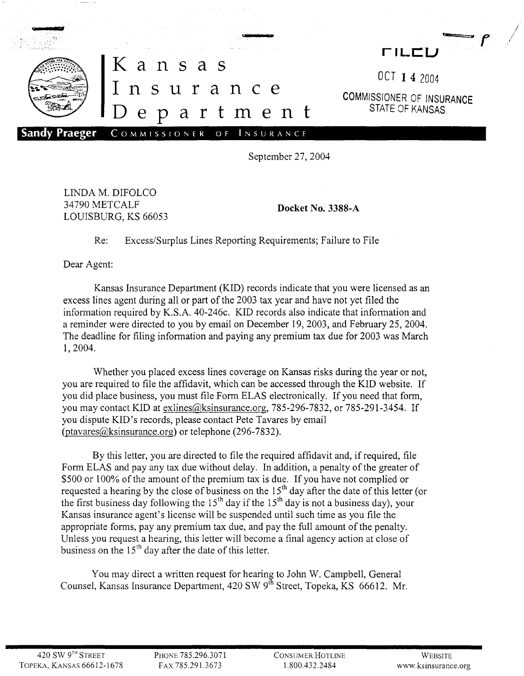

September 27, 2004

LINDA M. DIFOLCO 34790 METCALF LOUISBURG, KS 66053

**Docket No. 3388-A**

Re: Excess/Surplus Lines Reporting Requirements; Failure to File

Dear Agent:

Kansas Insurance Department (KID) records indicate that you were licensed as an excess lines agent during all or part of the 2003 tax year and have not yet filed the information required by K.S.A. 40-246c. KID records also indicate that information and a reminder were directed to you by email on December 19, 2003, and February 25, 2004. The deadline for filing information and paying any premium tax due for 2003 was March 1,2004.

Whether you placed excess lines coverage on Kansas risks during the year or not, you are required to file the affidavit, which can be accessed through the KID website. If you did place business, you must file Form ELAS electronically. If you need that form, you may contact KID at exlines @ksinsurance.org, 785-296-7832, or 785-291-3454. If you dispute KID's records, please contact Pete Tavares by email (ptavares@ksinsurance.org) or telephone (296-7832).

By this letter, you are directed to file the required affidavit and, if required, file Form ELAS and pay any tax due without delay. In addition, a penalty of the greater of \$500 or 100% of the amount of the premium tax is due. If you have not complied or requested a hearing by the close of business on the 15<sup>th</sup> day after the date of this letter (or the first business day following the 15<sup>th</sup> day if the 15<sup>th</sup> day is not a business day), your Kansas insurance agent's license will be suspended until such time as you file the appropriate forms, pay any premium tax due, and pay the full amount of the penalty. Unless you request a hearing, this letter will become a final agency action at close of business on the  $15<sup>th</sup>$  day after the date of this letter.

You may direct a written request for hearing to John W. Campbell, General Counsel, Kansas Insurance Department, 420 SW 9<sup>th</sup> Street, Topeka, KS 66612. Mr.